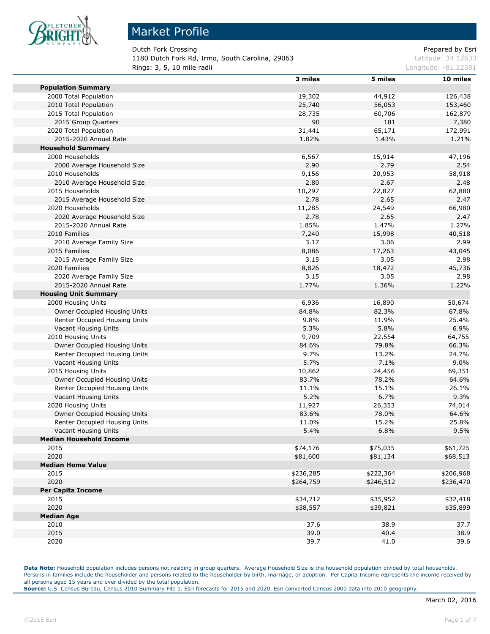

#### Market Profile

Dutch Fork Crossing **Prepared by Esri** Prepared by Esri 1180 Dutch Fork Rd, Irmo, South Carolina, 29063 Latitude: 34.12633 **Rings: 3, 5, 10 mile radii Constanting Constanting Constanting Constanting Constanting Constanting Constanting Constanting Constanting Constanting Constanting Constanting Constanting Constanting Constanting Constanting** 

|                                | 3 miles   | 5 miles   | 10 miles  |
|--------------------------------|-----------|-----------|-----------|
| <b>Population Summary</b>      |           |           |           |
| 2000 Total Population          | 19,302    | 44,912    | 126,438   |
| 2010 Total Population          | 25,740    | 56,053    | 153,460   |
| 2015 Total Population          | 28,735    | 60,706    | 162,879   |
| 2015 Group Quarters            | 90        | 181       | 7,380     |
| 2020 Total Population          | 31,441    | 65,171    | 172,991   |
| 2015-2020 Annual Rate          | 1.82%     | 1.43%     | 1.21%     |
| <b>Household Summary</b>       |           |           |           |
| 2000 Households                | 6,567     | 15,914    | 47,196    |
| 2000 Average Household Size    | 2.90      | 2.79      | 2.54      |
| 2010 Households                | 9,156     | 20,953    | 58,918    |
| 2010 Average Household Size    | 2.80      | 2.67      | 2.48      |
| 2015 Households                | 10,297    | 22,827    | 62,880    |
| 2015 Average Household Size    | 2.78      | 2.65      | 2.47      |
| 2020 Households                | 11,285    | 24,549    | 66,980    |
| 2020 Average Household Size    | 2.78      | 2.65      | 2.47      |
| 2015-2020 Annual Rate          | 1.85%     | 1.47%     | 1.27%     |
| 2010 Families                  | 7,240     | 15,998    | 40,518    |
| 2010 Average Family Size       | 3.17      | 3.06      | 2.99      |
| 2015 Families                  | 8,086     | 17,263    | 43,045    |
| 2015 Average Family Size       | 3.15      | 3.05      | 2.98      |
| 2020 Families                  | 8,826     | 18,472    | 45,736    |
| 2020 Average Family Size       | 3.15      | 3.05      | 2.98      |
| 2015-2020 Annual Rate          | 1.77%     | 1.36%     | 1.22%     |
| <b>Housing Unit Summary</b>    |           |           |           |
| 2000 Housing Units             | 6,936     | 16,890    | 50,674    |
| Owner Occupied Housing Units   | 84.8%     | 82.3%     | 67.8%     |
| Renter Occupied Housing Units  | 9.8%      | 11.9%     | 25.4%     |
| Vacant Housing Units           | 5.3%      | 5.8%      | 6.9%      |
| 2010 Housing Units             | 9,709     | 22,554    | 64,755    |
| Owner Occupied Housing Units   | 84.6%     | 79.8%     | 66.3%     |
| Renter Occupied Housing Units  | 9.7%      | 13.2%     | 24.7%     |
| Vacant Housing Units           | 5.7%      | 7.1%      | 9.0%      |
| 2015 Housing Units             | 10,862    | 24,456    | 69,351    |
| Owner Occupied Housing Units   | 83.7%     | 78.2%     | 64.6%     |
| Renter Occupied Housing Units  | 11.1%     | 15.1%     | 26.1%     |
| Vacant Housing Units           | 5.2%      | 6.7%      | 9.3%      |
| 2020 Housing Units             | 11,927    | 26,353    | 74,014    |
| Owner Occupied Housing Units   | 83.6%     | 78.0%     | 64.6%     |
| Renter Occupied Housing Units  | 11.0%     | 15.2%     | 25.8%     |
| Vacant Housing Units           | 5.4%      | 6.8%      | 9.5%      |
| <b>Median Household Income</b> |           |           |           |
| 2015                           | \$74,176  | \$75,035  | \$61,725  |
| 2020                           | \$81,600  | \$81,134  | \$68,513  |
| <b>Median Home Value</b>       |           |           |           |
| 2015                           | \$236,285 | \$222,364 | \$206,968 |
| 2020                           | \$264,759 | \$246,512 | \$236,470 |
| <b>Per Capita Income</b>       |           |           |           |
| 2015                           | \$34,712  | \$35,952  | \$32,418  |
| 2020                           | \$38,557  | \$39,821  | \$35,899  |
| <b>Median Age</b>              |           |           |           |
| 2010                           | 37.6      | 38.9      | 37.7      |
| 2015                           | 39.0      | 40.4      | 38.9      |
| 2020                           | 39.7      | 41.0      | 39.6      |

**Data Note:** Household population includes persons not residing in group quarters. Average Household Size is the household population divided by total households. Persons in families include the householder and persons related to the householder by birth, marriage, or adoption. Per Capita Income represents the income received by all persons aged 15 years and over divided by the total population.

**Source:** U.S. Census Bureau, Census 2010 Summary File 1. Esri forecasts for 2015 and 2020. Esri converted Census 2000 data into 2010 geography.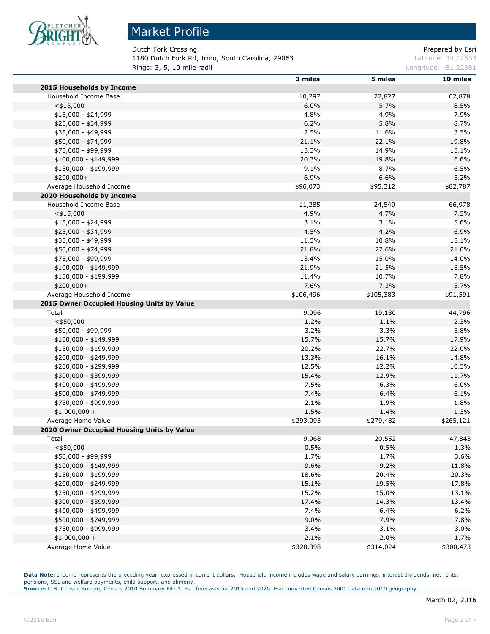

# Market Profile

Dutch Fork Crossing **Prepared by Estimate Prepared by Estimate** Prepared by Esri 1180 Dutch Fork Rd, Irmo, South Carolina, 29063 Latitude: 34.12633 **Rings: 3, 5, 10 mile radii Longitude: -81.22381** 

|                                                | 3 miles   | 5 miles   | 10 miles  |
|------------------------------------------------|-----------|-----------|-----------|
| 2015 Households by Income                      |           |           |           |
| Household Income Base                          | 10,297    | 22,827    | 62,878    |
| $<$ \$15,000                                   | 6.0%      | 5.7%      | 8.5%      |
| $$15,000 - $24,999$                            | 4.8%      | 4.9%      | 7.9%      |
| \$25,000 - \$34,999                            | 6.2%      | 5.8%      | 8.7%      |
| \$35,000 - \$49,999                            | 12.5%     | 11.6%     | 13.5%     |
| \$50,000 - \$74,999                            | 21.1%     | 22.1%     | 19.8%     |
| \$75,000 - \$99,999                            | 13.3%     | 14.9%     | 13.1%     |
| \$100,000 - \$149,999                          | 20.3%     | 19.8%     | 16.6%     |
| \$150,000 - \$199,999                          | 9.1%      | 8.7%      | 6.5%      |
| \$200,000+                                     | 6.9%      | 6.6%      | 5.2%      |
| Average Household Income                       | \$96,073  | \$95,312  | \$82,787  |
| 2020 Households by Income                      |           |           |           |
| Household Income Base                          | 11,285    | 24,549    | 66,978    |
| $<$ \$15,000                                   | 4.9%      | 4.7%      | 7.5%      |
| \$15,000 - \$24,999                            | 3.1%      | 3.1%      | 5.6%      |
| \$25,000 - \$34,999                            | 4.5%      | 4.2%      | 6.9%      |
| \$35,000 - \$49,999                            | 11.5%     | 10.8%     | 13.1%     |
| \$50,000 - \$74,999                            | 21.8%     | 22.6%     | 21.0%     |
| \$75,000 - \$99,999                            | 13.4%     | 15.0%     | 14.0%     |
| \$100,000 - \$149,999                          | 21.9%     | 21.5%     | 18.5%     |
| \$150,000 - \$199,999                          | 11.4%     | 10.7%     | 7.8%      |
| \$200,000+                                     | 7.6%      | 7.3%      | 5.7%      |
| Average Household Income                       | \$106,496 | \$105,383 | \$91,591  |
| 2015 Owner Occupied Housing Units by Value     |           |           |           |
| Total                                          | 9,096     | 19,130    | 44,796    |
| $<$ \$50,000                                   | 1.2%      | 1.1%      | 2.3%      |
| \$50,000 - \$99,999                            | 3.2%      | 3.3%      | 5.8%      |
| $$100,000 - $149,999$                          | 15.7%     | 15.7%     | 17.9%     |
| \$150,000 - \$199,999                          | 20.2%     | 22.7%     | 22.0%     |
| \$200,000 - \$249,999                          | 13.3%     | 16.1%     | 14.8%     |
| \$250,000 - \$299,999                          | 12.5%     | 12.2%     | 10.5%     |
|                                                | 15.4%     | 12.9%     | 11.7%     |
| \$300,000 - \$399,999<br>\$400,000 - \$499,999 | 7.5%      | 6.3%      | 6.0%      |
| \$500,000 - \$749,999                          | 7.4%      | 6.4%      | 6.1%      |
|                                                |           |           |           |
| \$750,000 - \$999,999                          | 2.1%      | 1.9%      | 1.8%      |
| $$1,000,000 +$                                 | 1.5%      | 1.4%      | 1.3%      |
| Average Home Value                             | \$293,093 | \$279,482 | \$265,121 |
| 2020 Owner Occupied Housing Units by Value     |           |           |           |
| Total                                          | 9,968     | 20,552    | 47,843    |
| $<$ \$50,000                                   | 0.5%      | 0.5%      | 1.3%      |
| \$50,000 - \$99,999                            | 1.7%      | 1.7%      | 3.6%      |
| \$100,000 - \$149,999                          | 9.6%      | 9.2%      | 11.8%     |
| \$150,000 - \$199,999                          | 18.6%     | 20.4%     | 20.3%     |
| \$200,000 - \$249,999                          | 15.1%     | 19.5%     | 17.8%     |
| \$250,000 - \$299,999                          | 15.2%     | 15.0%     | 13.1%     |
| \$300,000 - \$399,999                          | 17.4%     | 14.3%     | 13.4%     |
| \$400,000 - \$499,999                          | 7.4%      | 6.4%      | 6.2%      |
| \$500,000 - \$749,999                          | 9.0%      | 7.9%      | 7.8%      |
| \$750,000 - \$999,999                          | 3.4%      | 3.1%      | 3.0%      |
| $$1,000,000 +$                                 | 2.1%      | 2.0%      | 1.7%      |
| Average Home Value                             | \$328,398 | \$314,024 | \$300,473 |

Data Note: Income represents the preceding year, expressed in current dollars. Household income includes wage and salary earnings, interest dividends, net rents, pensions, SSI and welfare payments, child support, and alimony.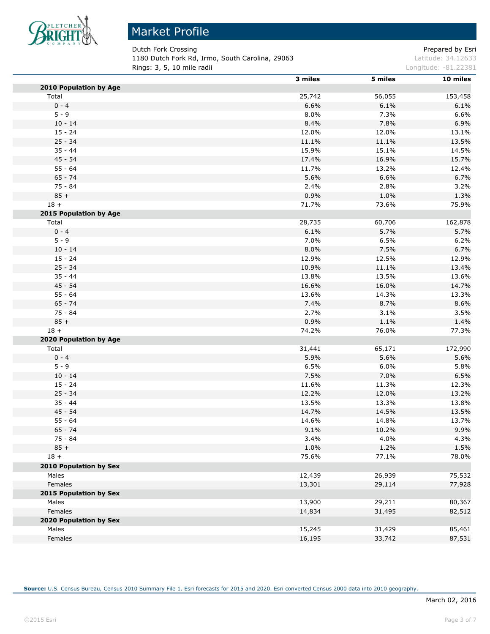

# Market Profile

Dutch Fork Crossing **Prepared by Estimate 2** Prepared by Esri 1180 Dutch Fork Rd, Irmo, South Carolina, 29063 Latitude: 34.12633 **Rings: 3, 5, 10 mile radii Longitude: -81.22381** 

|                        | 3 miles | 5 miles | 10 miles |
|------------------------|---------|---------|----------|
| 2010 Population by Age |         |         |          |
| Total                  | 25,742  | 56,055  | 153,458  |
| $0 - 4$                | 6.6%    | 6.1%    | 6.1%     |
| $5 - 9$                | 8.0%    | 7.3%    | 6.6%     |
| $10 - 14$              | 8.4%    | 7.8%    | 6.9%     |
| $15 - 24$              | 12.0%   | 12.0%   | 13.1%    |
| $25 - 34$              | 11.1%   | 11.1%   | 13.5%    |
| $35 - 44$              | 15.9%   | 15.1%   | 14.5%    |
| $45 - 54$              | 17.4%   | 16.9%   | 15.7%    |
| $55 - 64$              | 11.7%   | 13.2%   | 12.4%    |
| $65 - 74$              | 5.6%    | 6.6%    | 6.7%     |
| $75 - 84$              | 2.4%    | 2.8%    | 3.2%     |
| $85 +$                 | 0.9%    | 1.0%    | 1.3%     |
| $18 +$                 | 71.7%   | 73.6%   | 75.9%    |
| 2015 Population by Age |         |         |          |
| Total                  | 28,735  | 60,706  | 162,878  |
| $0 - 4$                | 6.1%    | 5.7%    | 5.7%     |
| $5 - 9$                | 7.0%    | 6.5%    | 6.2%     |
| $10 - 14$              | 8.0%    | 7.5%    | 6.7%     |
| $15 - 24$              | 12.9%   | 12.5%   | 12.9%    |
| $25 - 34$              | 10.9%   | 11.1%   | 13.4%    |
| $35 - 44$              | 13.8%   | 13.5%   | 13.6%    |
| $45 - 54$              | 16.6%   | 16.0%   | 14.7%    |
| $55 - 64$              | 13.6%   | 14.3%   | 13.3%    |
| $65 - 74$              | 7.4%    | 8.7%    | 8.6%     |
| $75 - 84$              | 2.7%    | 3.1%    | 3.5%     |
| $85 +$                 | 0.9%    | 1.1%    | 1.4%     |
| $18 +$                 | 74.2%   | 76.0%   | 77.3%    |
| 2020 Population by Age |         |         |          |
| Total                  | 31,441  | 65,171  | 172,990  |
| $0 - 4$                | 5.9%    | 5.6%    | 5.6%     |
| $5 - 9$                | 6.5%    | 6.0%    | 5.8%     |
| $10 - 14$              | 7.5%    | 7.0%    | 6.5%     |
| $15 - 24$              | 11.6%   | 11.3%   | 12.3%    |
| $25 - 34$              | 12.2%   | 12.0%   | 13.2%    |
| $35 - 44$              | 13.5%   | 13.3%   | 13.8%    |
| 45 - 54                | 14.7%   | 14.5%   | 13.5%    |
| $55 - 64$              | 14.6%   | 14.8%   | 13.7%    |
| $65 - 74$              | 9.1%    | 10.2%   | 9.9%     |
| 75 - 84                | 3.4%    | 4.0%    | 4.3%     |
| $85 +$                 | 1.0%    | 1.2%    | 1.5%     |
| $18 +$                 | 75.6%   | 77.1%   | 78.0%    |
|                        |         |         |          |
| 2010 Population by Sex |         |         | 75,532   |
| Males<br>Females       | 12,439  | 26,939  |          |
| 2015 Population by Sex | 13,301  | 29,114  | 77,928   |
|                        |         |         |          |
| Males                  | 13,900  | 29,211  | 80,367   |
| Females                | 14,834  | 31,495  | 82,512   |
| 2020 Population by Sex |         |         |          |
| Males                  | 15,245  | 31,429  | 85,461   |
| Females                | 16,195  | 33,742  | 87,531   |

**Source:** U.S. Census Bureau, Census 2010 Summary File 1. Esri forecasts for 2015 and 2020. Esri converted Census 2000 data into 2010 geography.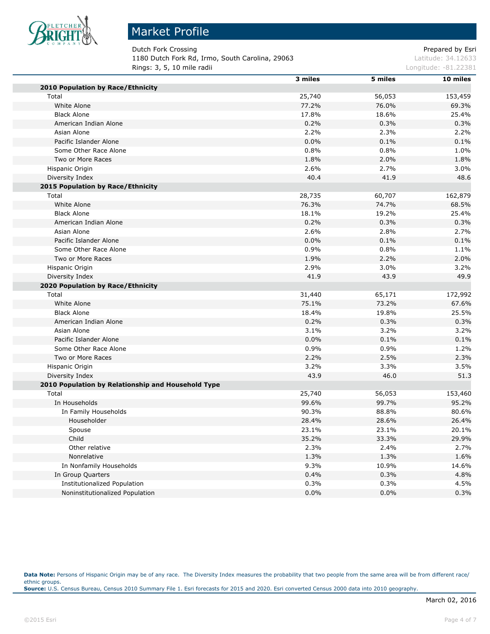

# Market Profile

Dutch Fork Crossing **Prepared by Estimate 2** and 2 and 2 and 2 and 2 and 2 and 2 and 2 and 2 and 2 and 2 and 2 and 2 and 2 and 2 and 2 and 2 and 2 and 2 and 2 and 2 and 2 and 2 and 2 and 2 and 2 and 2 and 2 and 2 and 2 and 1180 Dutch Fork Rd, Irmo, South Carolina, 29063 Latitude: 34.12633 **Rings: 3, 5, 10 mile radii Longitude: -81.22381** 

|                                                    | 3 miles | 5 miles | 10 miles |
|----------------------------------------------------|---------|---------|----------|
| 2010 Population by Race/Ethnicity                  |         |         |          |
| Total                                              | 25,740  | 56,053  | 153,459  |
| White Alone                                        | 77.2%   | 76.0%   | 69.3%    |
| <b>Black Alone</b>                                 | 17.8%   | 18.6%   | 25.4%    |
| American Indian Alone                              | 0.2%    | 0.3%    | 0.3%     |
| Asian Alone                                        | 2.2%    | 2.3%    | 2.2%     |
| Pacific Islander Alone                             | 0.0%    | 0.1%    | 0.1%     |
| Some Other Race Alone                              | 0.8%    | 0.8%    | 1.0%     |
| Two or More Races                                  | 1.8%    | 2.0%    | 1.8%     |
| Hispanic Origin                                    | 2.6%    | 2.7%    | 3.0%     |
| Diversity Index                                    | 40.4    | 41.9    | 48.6     |
| 2015 Population by Race/Ethnicity                  |         |         |          |
| Total                                              | 28,735  | 60,707  | 162,879  |
| White Alone                                        | 76.3%   | 74.7%   | 68.5%    |
| <b>Black Alone</b>                                 | 18.1%   | 19.2%   | 25.4%    |
| American Indian Alone                              | 0.2%    | 0.3%    | 0.3%     |
| Asian Alone                                        | 2.6%    | 2.8%    | 2.7%     |
| Pacific Islander Alone                             | 0.0%    | 0.1%    | 0.1%     |
| Some Other Race Alone                              | 0.9%    | 0.8%    | 1.1%     |
| Two or More Races                                  | 1.9%    | 2.2%    | 2.0%     |
| Hispanic Origin                                    | 2.9%    | $3.0\%$ | 3.2%     |
| Diversity Index                                    | 41.9    | 43.9    | 49.9     |
| 2020 Population by Race/Ethnicity                  |         |         |          |
| Total                                              | 31,440  | 65,171  | 172,992  |
| White Alone                                        | 75.1%   | 73.2%   | 67.6%    |
| <b>Black Alone</b>                                 | 18.4%   | 19.8%   | 25.5%    |
| American Indian Alone                              | 0.2%    | 0.3%    | 0.3%     |
| Asian Alone                                        | 3.1%    | 3.2%    | 3.2%     |
| Pacific Islander Alone                             | 0.0%    | 0.1%    | 0.1%     |
| Some Other Race Alone                              | 0.9%    | 0.9%    | 1.2%     |
| Two or More Races                                  | 2.2%    | 2.5%    | 2.3%     |
| Hispanic Origin                                    | 3.2%    | 3.3%    | 3.5%     |
| Diversity Index                                    | 43.9    | 46.0    | 51.3     |
| 2010 Population by Relationship and Household Type |         |         |          |
| Total                                              | 25,740  | 56,053  | 153,460  |
| In Households                                      | 99.6%   | 99.7%   | 95.2%    |
| In Family Households                               | 90.3%   | 88.8%   | 80.6%    |
| Householder                                        | 28.4%   | 28.6%   | 26.4%    |
| Spouse                                             | 23.1%   | 23.1%   | 20.1%    |
| Child                                              | 35.2%   | 33.3%   | 29.9%    |
| Other relative                                     | 2.3%    | 2.4%    | 2.7%     |
| Nonrelative                                        | 1.3%    | 1.3%    | 1.6%     |
| In Nonfamily Households                            | 9.3%    | 10.9%   | 14.6%    |
| In Group Quarters                                  | 0.4%    | 0.3%    | 4.8%     |
| Institutionalized Population                       | 0.3%    | 0.3%    | 4.5%     |
| Noninstitutionalized Population                    | 0.0%    | 0.0%    | 0.3%     |

Data Note: Persons of Hispanic Origin may be of any race. The Diversity Index measures the probability that two people from the same area will be from different race/ ethnic groups. **Source:** U.S. Census Bureau, Census 2010 Summary File 1. Esri forecasts for 2015 and 2020. Esri converted Census 2000 data into 2010 geography.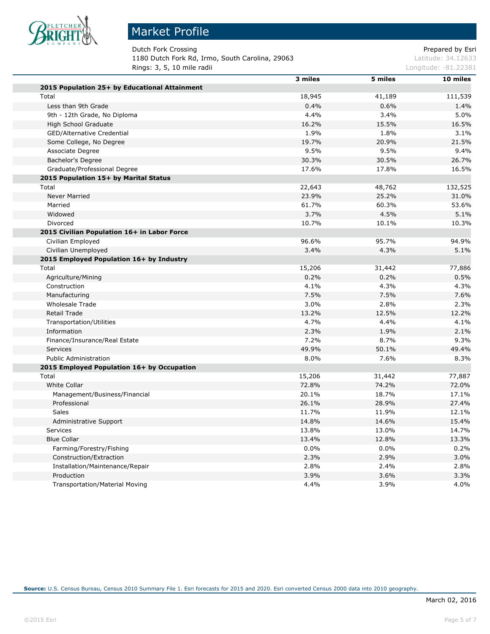

# Market Profile

Dutch Fork Crossing **Prepared by Estimate Prepared by Estimate** Prepared by Esri 1180 Dutch Fork Rd, Irmo, South Carolina, 29063 Latitude: 34.12633 **Rings: 3, 5, 10 mile radii Longitude: -81.22381** 

|                                               | 3 miles | 5 miles | 10 miles |
|-----------------------------------------------|---------|---------|----------|
| 2015 Population 25+ by Educational Attainment |         |         |          |
| Total                                         | 18,945  | 41,189  | 111,539  |
| Less than 9th Grade                           | 0.4%    | 0.6%    | 1.4%     |
| 9th - 12th Grade, No Diploma                  | 4.4%    | 3.4%    | 5.0%     |
| High School Graduate                          | 16.2%   | 15.5%   | 16.5%    |
| GED/Alternative Credential                    | 1.9%    | 1.8%    | 3.1%     |
| Some College, No Degree                       | 19.7%   | 20.9%   | 21.5%    |
| Associate Degree                              | 9.5%    | 9.5%    | 9.4%     |
| Bachelor's Degree                             | 30.3%   | 30.5%   | 26.7%    |
| Graduate/Professional Degree                  | 17.6%   | 17.8%   | 16.5%    |
| 2015 Population 15+ by Marital Status         |         |         |          |
| Total                                         | 22,643  | 48,762  | 132,525  |
| <b>Never Married</b>                          | 23.9%   | 25.2%   | 31.0%    |
| Married                                       | 61.7%   | 60.3%   | 53.6%    |
| Widowed                                       | 3.7%    | 4.5%    | 5.1%     |
| Divorced                                      | 10.7%   | 10.1%   | 10.3%    |
| 2015 Civilian Population 16+ in Labor Force   |         |         |          |
| Civilian Employed                             | 96.6%   | 95.7%   | 94.9%    |
| Civilian Unemployed                           | 3.4%    | 4.3%    | 5.1%     |
| 2015 Employed Population 16+ by Industry      |         |         |          |
| Total                                         | 15,206  | 31,442  | 77,886   |
| Agriculture/Mining                            | 0.2%    | 0.2%    | 0.5%     |
| Construction                                  | 4.1%    | 4.3%    | 4.3%     |
| Manufacturing                                 | 7.5%    | 7.5%    | 7.6%     |
| <b>Wholesale Trade</b>                        | 3.0%    | 2.8%    | 2.3%     |
| <b>Retail Trade</b>                           | 13.2%   | 12.5%   | 12.2%    |
| <b>Transportation/Utilities</b>               | 4.7%    | 4.4%    | 4.1%     |
| Information                                   | 2.3%    | 1.9%    | 2.1%     |
| Finance/Insurance/Real Estate                 | 7.2%    | 8.7%    | 9.3%     |
| <b>Services</b>                               | 49.9%   | 50.1%   | 49.4%    |
| <b>Public Administration</b>                  | 8.0%    | 7.6%    | 8.3%     |
| 2015 Employed Population 16+ by Occupation    |         |         |          |
| Total                                         | 15,206  | 31,442  | 77,887   |
| White Collar                                  | 72.8%   | 74.2%   | 72.0%    |
| Management/Business/Financial                 | 20.1%   | 18.7%   | 17.1%    |
| Professional                                  | 26.1%   | 28.9%   | 27.4%    |
| <b>Sales</b>                                  | 11.7%   | 11.9%   | 12.1%    |
| Administrative Support                        | 14.8%   | 14.6%   | 15.4%    |
| Services                                      | 13.8%   | 13.0%   | 14.7%    |
| <b>Blue Collar</b>                            | 13.4%   | 12.8%   | 13.3%    |
| Farming/Forestry/Fishing                      | 0.0%    | 0.0%    | 0.2%     |
| Construction/Extraction                       | 2.3%    | 2.9%    | 3.0%     |
| Installation/Maintenance/Repair               | 2.8%    | 2.4%    | 2.8%     |
| Production                                    | 3.9%    | 3.6%    | 3.3%     |
| <b>Transportation/Material Moving</b>         | 4.4%    | 3.9%    | 4.0%     |
|                                               |         |         |          |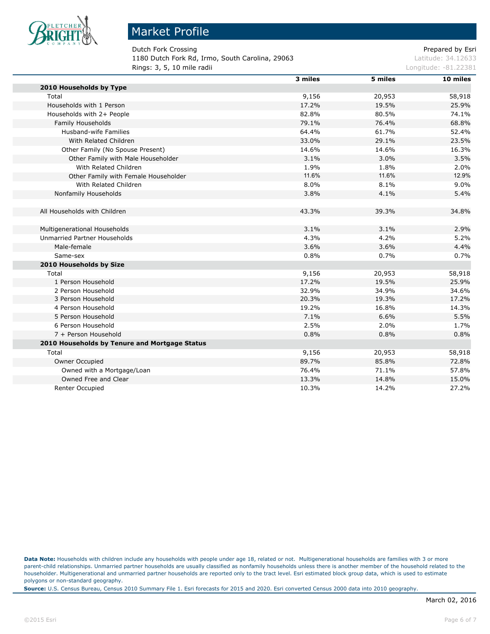

п

#### Market Profile

Dutch Fork Crossing **Dutch Fork Crossing Prepared by Esri** 1180 Dutch Fork Rd, Irmo, South Carolina, 29063 Latitude: 34.12633 **Rings: 3, 5, 10 mile radii Longitude: -81.22381** 

|                                               | 3 miles | 5 miles | 10 miles |
|-----------------------------------------------|---------|---------|----------|
| 2010 Households by Type                       |         |         |          |
| Total                                         | 9,156   | 20,953  | 58,918   |
| Households with 1 Person                      | 17.2%   | 19.5%   | 25.9%    |
| Households with 2+ People                     | 82.8%   | 80.5%   | 74.1%    |
| Family Households                             | 79.1%   | 76.4%   | 68.8%    |
| <b>Husband-wife Families</b>                  | 64.4%   | 61.7%   | 52.4%    |
| With Related Children                         | 33.0%   | 29.1%   | 23.5%    |
| Other Family (No Spouse Present)              | 14.6%   | 14.6%   | 16.3%    |
| Other Family with Male Householder            | 3.1%    | 3.0%    | 3.5%     |
| With Related Children                         | 1.9%    | 1.8%    | 2.0%     |
| Other Family with Female Householder          | 11.6%   | 11.6%   | 12.9%    |
| With Related Children                         | 8.0%    | 8.1%    | 9.0%     |
| Nonfamily Households                          | 3.8%    | 4.1%    | 5.4%     |
|                                               |         |         |          |
| All Households with Children                  | 43.3%   | 39.3%   | 34.8%    |
|                                               |         |         |          |
| Multigenerational Households                  | 3.1%    | 3.1%    | 2.9%     |
| <b>Unmarried Partner Households</b>           | 4.3%    | 4.2%    | 5.2%     |
| Male-female                                   | 3.6%    | 3.6%    | 4.4%     |
| Same-sex                                      | 0.8%    | 0.7%    | 0.7%     |
| 2010 Households by Size                       |         |         |          |
| Total                                         | 9,156   | 20,953  | 58,918   |
| 1 Person Household                            | 17.2%   | 19.5%   | 25.9%    |
| 2 Person Household                            | 32.9%   | 34.9%   | 34.6%    |
| 3 Person Household                            | 20.3%   | 19.3%   | 17.2%    |
| 4 Person Household                            | 19.2%   | 16.8%   | 14.3%    |
| 5 Person Household                            | 7.1%    | 6.6%    | 5.5%     |
| 6 Person Household                            | 2.5%    | 2.0%    | 1.7%     |
| 7 + Person Household                          | 0.8%    | 0.8%    | 0.8%     |
| 2010 Households by Tenure and Mortgage Status |         |         |          |
| Total                                         | 9,156   | 20,953  | 58,918   |
| Owner Occupied                                | 89.7%   | 85.8%   | 72.8%    |
| Owned with a Mortgage/Loan                    | 76.4%   | 71.1%   | 57.8%    |
| Owned Free and Clear                          | 13.3%   | 14.8%   | 15.0%    |
| <b>Renter Occupied</b>                        | 10.3%   | 14.2%   | 27.2%    |

**Data Note:** Households with children include any households with people under age 18, related or not. Multigenerational households are families with 3 or more parent-child relationships. Unmarried partner households are usually classified as nonfamily households unless there is another member of the household related to the householder. Multigenerational and unmarried partner households are reported only to the tract level. Esri estimated block group data, which is used to estimate polygons or non-standard geography.

**Source:** U.S. Census Bureau, Census 2010 Summary File 1. Esri forecasts for 2015 and 2020. Esri converted Census 2000 data into 2010 geography.